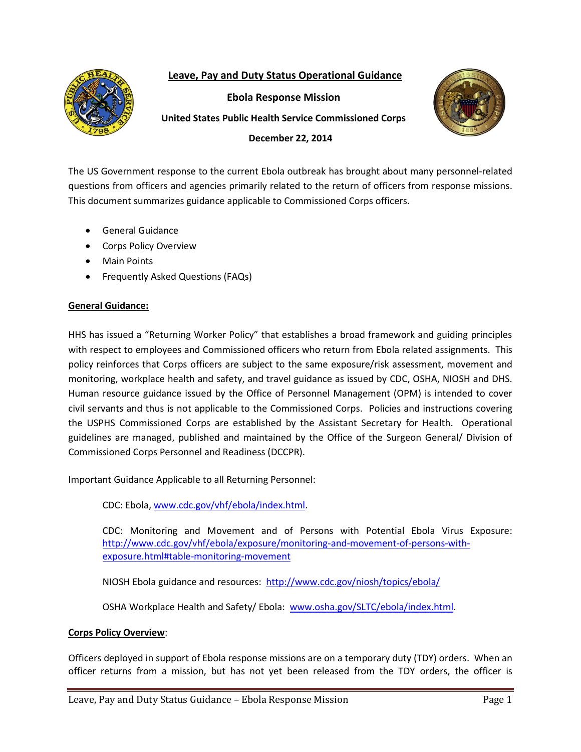# **Leave, Pay and Duty Status Operational Guidance**



**Ebola Response Mission**

**United States Public Health Service Commissioned Corps**



**December 22, 2014**

The US Government response to the current Ebola outbreak has brought about many personnel-related questions from officers and agencies primarily related to the return of officers from response missions. This document summarizes guidance applicable to Commissioned Corps officers.

- General Guidance
- Corps Policy Overview
- Main Points
- Frequently Asked Questions (FAQs)

# **General Guidance:**

HHS has issued a "Returning Worker Policy" that establishes a broad framework and guiding principles with respect to employees and Commissioned officers who return from Ebola related assignments. This policy reinforces that Corps officers are subject to the same exposure/risk assessment, movement and monitoring, workplace health and safety, and travel guidance as issued by CDC, OSHA, NIOSH and DHS. Human resource guidance issued by the Office of Personnel Management (OPM) is intended to cover civil servants and thus is not applicable to the Commissioned Corps. Policies and instructions covering the USPHS Commissioned Corps are established by the Assistant Secretary for Health. Operational guidelines are managed, published and maintained by the Office of the Surgeon General/ Division of Commissioned Corps Personnel and Readiness (DCCPR).

Important Guidance Applicable to all Returning Personnel:

CDC: Ebola, [www.cdc.gov/vhf/ebola/index.html.](http://www.cdc.gov/vhf/ebola/index.html)

CDC: Monitoring and Movement and of Persons with Potential Ebola Virus Exposure: [http://www.cdc.gov/vhf/ebola/exposure/monitoring-and-movement-of-persons-with](http://www.cdc.gov/vhf/ebola/exposure/monitoring-and-movement-of-persons-with-exposure.html#table-monitoring-movement)[exposure.html#table-monitoring-movement](http://www.cdc.gov/vhf/ebola/exposure/monitoring-and-movement-of-persons-with-exposure.html#table-monitoring-movement)

NIOSH Ebola guidance and resources:<http://www.cdc.gov/niosh/topics/ebola/>

OSHA Workplace Health and Safety/ Ebola: [www.osha.gov/SLTC/ebola/index.html.](http://www.osha.gov/SLTC/ebola/index.html)

### **Corps Policy Overview**:

Officers deployed in support of Ebola response missions are on a temporary duty (TDY) orders. When an officer returns from a mission, but has not yet been released from the TDY orders, the officer is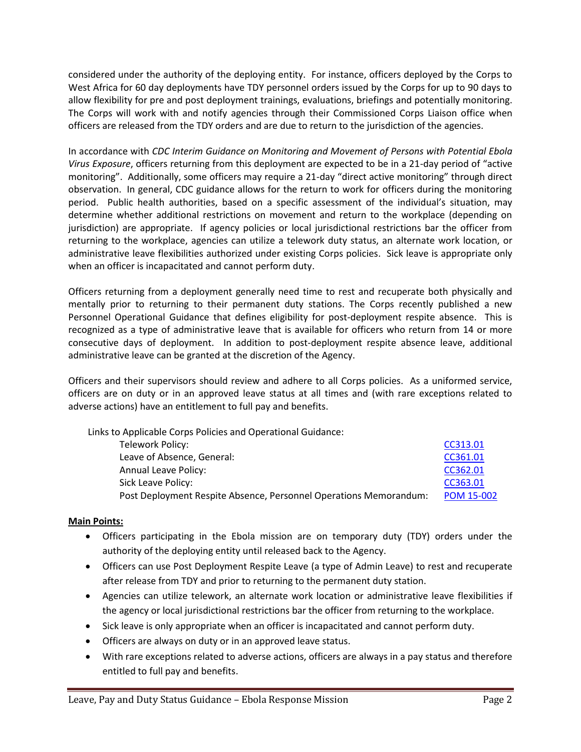considered under the authority of the deploying entity. For instance, officers deployed by the Corps to West Africa for 60 day deployments have TDY personnel orders issued by the Corps for up to 90 days to allow flexibility for pre and post deployment trainings, evaluations, briefings and potentially monitoring. The Corps will work with and notify agencies through their Commissioned Corps Liaison office when officers are released from the TDY orders and are due to return to the jurisdiction of the agencies.

In accordance with *CDC Interim Guidance on Monitoring and Movement of Persons with Potential Ebola Virus Exposure*, officers returning from this deployment are expected to be in a 21-day period of "active monitoring". Additionally, some officers may require a 21-day "direct active monitoring" through direct observation. In general, CDC guidance allows for the return to work for officers during the monitoring period. Public health authorities, based on a specific assessment of the individual's situation, may determine whether additional restrictions on movement and return to the workplace (depending on jurisdiction) are appropriate. If agency policies or local jurisdictional restrictions bar the officer from returning to the workplace, agencies can utilize a telework duty status, an alternate work location, or administrative leave flexibilities authorized under existing Corps policies. Sick leave is appropriate only when an officer is incapacitated and cannot perform duty.

Officers returning from a deployment generally need time to rest and recuperate both physically and mentally prior to returning to their permanent duty stations. The Corps recently published a new Personnel Operational Guidance that defines eligibility for post-deployment respite absence. This is recognized as a type of administrative leave that is available for officers who return from 14 or more consecutive days of deployment. In addition to post-deployment respite absence leave, additional administrative leave can be granted at the discretion of the Agency.

Officers and their supervisors should review and adhere to all Corps policies. As a uniformed service, officers are on duty or in an approved leave status at all times and (with rare exceptions related to adverse actions) have an entitlement to full pay and benefits.

Links to Applicable Corps Policies and Operational Guidance:

| Telework Policy:                                                  | CC313.01          |
|-------------------------------------------------------------------|-------------------|
| Leave of Absence, General:                                        | CC361.01          |
| Annual Leave Policy:                                              | CC362.01          |
| Sick Leave Policy:                                                | CC363.01          |
| Post Deployment Respite Absence, Personnel Operations Memorandum: | <b>POM 15-002</b> |

### **Main Points:**

- Officers participating in the Ebola mission are on temporary duty (TDY) orders under the authority of the deploying entity until released back to the Agency.
- Officers can use Post Deployment Respite Leave (a type of Admin Leave) to rest and recuperate after release from TDY and prior to returning to the permanent duty station.
- Agencies can utilize telework, an alternate work location or administrative leave flexibilities if the agency or local jurisdictional restrictions bar the officer from returning to the workplace.
- Sick leave is only appropriate when an officer is incapacitated and cannot perform duty.
- Officers are always on duty or in an approved leave status.
- With rare exceptions related to adverse actions, officers are always in a pay status and therefore entitled to full pay and benefits.